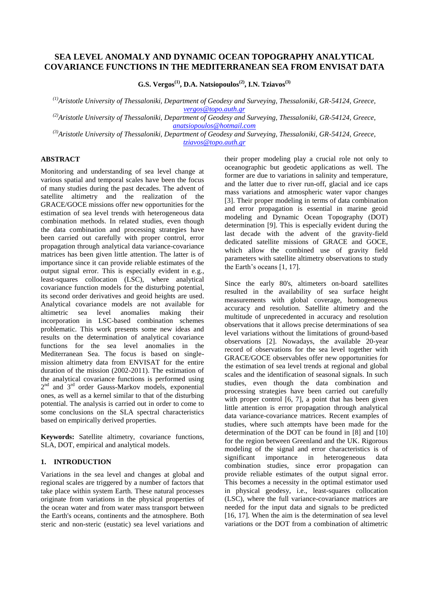# **SEA LEVEL ANOMALY AND DYNAMIC OCEAN TOPOGRAPHY ANALYTICAL COVARIANCE FUNCTIONS IN THE MEDITERRANEAN SEA FROM ENVISAT DATA**

**G.S. Vergos(1), D.A. Natsiopoulos(2), I.N. Tziavos(3)**

*(1)Aristotle University of Thessaloniki, Department of Geodesy and Surveying, Thessaloniki, GR-54124, Greece, [vergos@topo.auth.gr](mailto:vergos@topo.auth.gr)*

*(2)Aristotle University of Thessaloniki, Department of Geodesy and Surveying, Thessaloniki, GR-54124, Greece, [anatsiopoulos@hotmail.com](mailto:anatsiopoulos@hotmail.com)*

*(3)Aristotle University of Thessaloniki, Department of Geodesy and Surveying, Thessaloniki, GR-54124, Greece, [tziavos@topo.auth.gr](mailto:tziavos@topo.auth.gr)*

# **ABSTRACT**

Monitoring and understanding of sea level change at various spatial and temporal scales have been the focus of many studies during the past decades. The advent of satellite altimetry and the realization of the GRACE/GOCE missions offer new opportunities for the estimation of sea level trends with heterogeneous data combination methods. In related studies, even though the data combination and processing strategies have been carried out carefully with proper control, error propagation through analytical data variance-covariance matrices has been given little attention. The latter is of importance since it can provide reliable estimates of the output signal error. This is especially evident in e.g., least-squares collocation (LSC), where analytical covariance function models for the disturbing potential, its second order derivatives and geoid heights are used. Analytical covariance models are not available for altimetric sea level anomalies making their sea level anomalies making their incorporation in LSC-based combination schemes problematic. This work presents some new ideas and results on the determination of analytical covariance functions for the sea level anomalies in the Mediterranean Sea. The focus is based on singlemission altimetry data from ENVISAT for the entire duration of the mission (2002-2011). The estimation of the analytical covariance functions is performed using  $2<sup>nd</sup>$  and  $3<sup>rd</sup>$  order Gauss-Markov models, exponential ones, as well as a kernel similar to that of the disturbing potential. The analysis is carried out in order to come to some conclusions on the SLA spectral characteristics based on empirically derived properties.

**Keywords:** Satellite altimetry, covariance functions, SLA, DOT, empirical and analytical models.

## **1. INTRODUCTION**

Variations in the sea level and changes at global and regional scales are triggered by a number of factors that take place within system Earth. These natural processes originate from variations in the physical properties of the ocean water and from water mass transport between the Earth's oceans, continents and the atmosphere. Both steric and non-steric (eustatic) sea level variations and their proper modeling play a crucial role not only to oceanographic but geodetic applications as well. The former are due to variations in salinity and temperature, and the latter due to river run-off, glacial and ice caps mass variations and atmospheric water vapor changes [3]. Their proper modeling in terms of data combination and error propagation is essential in marine geoid modeling and Dynamic Ocean Topography (DOT) determination [9]. This is especially evident during the last decade with the advent of the gravity-field dedicated satellite missions of GRACE and GOCE, which allow the combined use of gravity field parameters with satellite altimetry observations to study the Earth's oceans [1, 17].

Since the early 80's, altimeters on-board satellites resulted in the availability of sea surface height measurements with global coverage, homogeneous accuracy and resolution. Satellite altimetry and the multitude of unprecedented in accuracy and resolution observations that it allows precise determinations of sea level variations without the limitations of ground-based observations [2]. Nowadays, the available 20-year record of observations for the sea level together with GRACE/GOCE observables offer new opportunities for the estimation of sea level trends at regional and global scales and the identification of seasonal signals. In such studies, even though the data combination and processing strategies have been carried out carefully with proper control  $[6, 7]$ , a point that has been given little attention is error propagation through analytical data variance-covariance matrices. Recent examples of studies, where such attempts have been made for the determination of the DOT can be found in [8] and [10] for the region between Greenland and the UK. Rigorous modeling of the signal and error characteristics is of significant importance in heterogeneous data combination studies, since error propagation can provide reliable estimates of the output signal error. This becomes a necessity in the optimal estimator used in physical geodesy, i.e., least-squares collocation (LSC), where the full variance-covariance matrices are needed for the input data and signals to be predicted [16, 17]. When the aim is the determination of sea level variations or the DOT from a combination of altimetric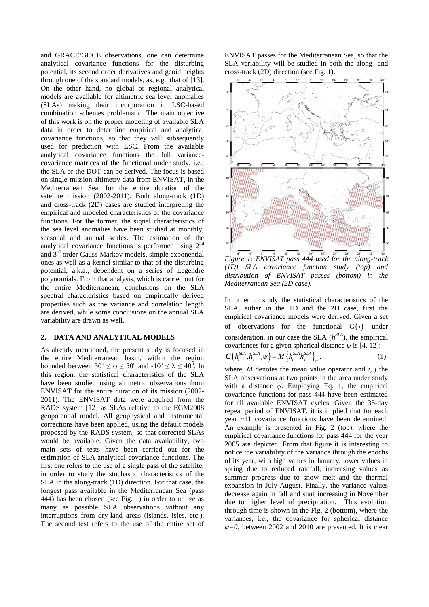and GRACE/GOCE observations, one can determine analytical covariance functions for the disturbing potential, its second order derivatives and geoid heights through one of the standard models, as, e.g., that of [13]. On the other hand, no global or regional analytical models are available for altimetric sea level anomalies (SLAs) making their incorporation in LSC-based combination schemes problematic. The main objective of this work is on the proper modeling of available SLA data in order to determine empirical and analytical covariance functions, so that they will subsequently used for prediction with LSC. From the available analytical covariance functions the full variancecovariance matrices of the functional under study, i.e., the SLA or the DOT can be derived. The focus is based on single-mission altimetry data from ENVISAT, in the Mediterranean Sea, for the entire duration of the satellite mission (2002-2011). Both along-track (1D) and cross-track (2D) cases are studied interpreting the empirical and modeled characteristics of the covariance functions. For the former, the signal characteristics of the sea level anomalies have been studied at monthly, seasonal and annual scales. The estimation of the analytical covariance functions is performed using 2nd and 3rd order Gauss-Markov models, simple exponential ones as well as a kernel similar to that of the disturbing potential, a.k.a., dependent on a series of Legendre polynomials. From that analysis, which is carried out for the entire Mediterranean, conclusions on the SLA spectral characteristics based on empirically derived properties such as the variance and correlation length are derived, while some conclusions on the annual SLA variability are drawn as well.

#### **2. DATA AND ANALYTICAL MODELS**

As already mentioned, the present study is focused in the entire Mediterranean basin, within the region bounded between  $30^{\circ} \le \varphi \le 50^{\circ}$  and  $-10^{\circ} \le \lambda \le 40^{\circ}$ . In this region, the statistical characteristics of the SLA have been studied using altimetric observations from ENVISAT for the entire duration of its mission (2002- 2011). The ENVISAT data were acquired from the RADS system [12] as SLAs relative to the EGM2008 geopotential model. All geophysical and instrumental corrections have been applied, using the default models proposed by the RADS system, so that corrected SLAs would be available. Given the data availability, two main sets of tests have been carried out for the estimation of SLA analytical covariance functions. The first one refers to the use of a single pass of the satellite, in order to study the stochastic characteristics of the SLA in the along-track (1D) direction. For that case, the longest pass available in the Mediterranean Sea (pass 444) has been chosen (see Fig. 1) in order to utilize as many as possible SLA observations without any interruptions from dry-land areas (islands, isles, etc.). The second test refers to the use of the entire set of ENVISAT passes for the Mediterranean Sea, so that the SLA variability will be studied in both the along- and cross-track (2D) direction (see Fig. 1).



*Figure 1: ENVISAT pass 444 used for the along-track (1D) SLA covariance function study (top) and distribution of ENVISAT passes (bottom) in the Mediterranean Sea (2D case).*

In order to study the statistical characteristics of the SLA, either in the 1D and the 2D case, first the empirical covariance models were derived. Given a set of observations for the functional  $C(\cdot)$  under consideration, in our case the SLA  $(h<sup>SLA</sup>)$ , the empirical covariances for a given spherical distance  $\psi$  is [4, 12]:

$$
C(h_i^{SLA}, h_j^{SLA}, \psi) = M\left\{h_i^{SLA}h_j^{SLA}\right\}_\psi, \tag{1}
$$

where, *M* denotes the mean value operator and *i*, *j* the SLA observations at two points in the area under study with a distance  $\psi$ . Employing Eq. 1, the empirical covariance functions for pass 444 have been estimated for all available ENVISAT cycles. Given the 35-day repeat period of ENVISAT, it is implied that for each year ~11 covariance functions have been determined. An example is presented in Fig. 2 (top), where the empirical covariance functions for pass 444 for the year 2005 are depicted. From that figure it is interesting to notice the variability of the variance through the epochs of its year, with high values in January, lower values in spring due to reduced rainfall, increasing values as summer progress due to snow melt and the thermal expansion in July-August. Finally, the variance values decrease again in fall and start increasing in November due to higher level of precipitation. This evolution through time is shown in the Fig. 2 (bottom), where the variances, i.e., the covariance for spherical distance  $\psi = 0$ , between 2002 and 2010 are presented. It is clear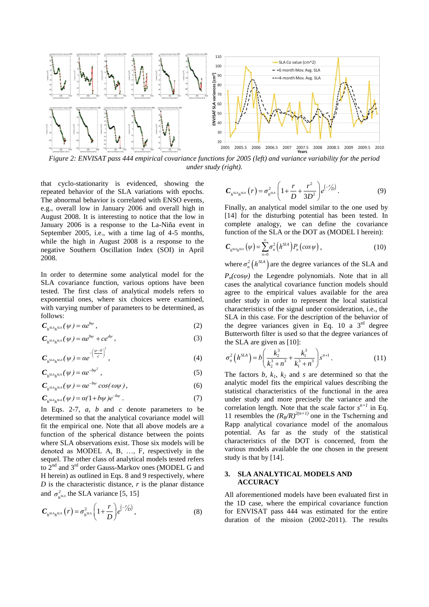

*Figure 2: ENVISAT pass 444 empirical covariance functions for 2005 (left) and variance variability for the period under study (right).*

that cyclo-stationarity is evidenced, showing the repeated behavior of the SLA variations with epochs. The abnormal behavior is correlated with ENSO events, e.g., overall low in January 2006 and overall high in August 2008. It is interesting to notice that the low in January 2006 is a response to the La-Niña event in September 2005, i.e., with a time lag of 4-5 months, while the high in August 2008 is a response to the negative Southern Oscillation Index (SOI) in April 2008.

In order to determine some analytical model for the SLA covariance function, various options have been tested. The first class of analytical models refers to exponential ones, where six choices were examined, with varying number of parameters to be determined, as follows:

$$
C_{h^{SLA}h^{SLA}}(\psi) = \alpha e^{b\psi} \,, \tag{2}
$$

$$
C_{h^{\text{SLA}}h^{\text{SLA}}}(\psi) = \alpha e^{b\psi} + c e^{d\psi},\tag{3}
$$

$$
C_{h^{SLA}h^{SLA}}(\psi) = ae^{-\left(\frac{\psi-b}{c}\right)^2},\tag{4}
$$

$$
C_{h^{\text{SLA}}h^{\text{SLA}}}(\psi) = \alpha e^{-b\psi^2} \,, \tag{5}
$$

$$
C_{h^{\text{SL}_h\text{SL}_h}}(\psi) = \alpha e^{-b\psi} \cos(\omega \psi), \tag{6}
$$

$$
C_{h^{\text{SL}_h\text{SL}_h}}(\psi) = \alpha(1 + b\psi)e^{-b\psi} \,. \tag{7}
$$

In Eqs. 2-7, *a*, *b* and *c* denote parameters to be determined so that the analytical covariance model will fit the empirical one. Note that all above models are a function of the spherical distance between the points where SLA observations exist. Those six models will be denoted as MODEL A, B, …, F, respectively in the sequel. The other class of analytical models tested refers to 2<sup>nd</sup> and 3<sup>rd</sup> order Gauss-Markov ones (MODEL G and H herein) as outlined in Eqs. 8 and 9 respectively, where *D* is the characteristic distance, *r* is the planar distance and  $\sigma_{h}^2$  the SLA variance [5, 15]

$$
C_{h^{\text{SLA}}h^{\text{SLA}}}(r) = \sigma_{h^{\text{SLA}}}^2 \left(1 + \frac{r}{D}\right) e^{\left(-\frac{r}{D}\right)}, \tag{8}
$$

$$
C_{h^{SIA}h^{SIA}}(r) = \sigma_{h^{SIA}}^2 \left(1 + \frac{r}{D} + \frac{r^2}{3D^2}\right) e^{(-r/D)}.
$$
 (9)

Finally, an analytical model similar to the one used by [14] for the disturbing potential has been tested. In complete analogy, we can define the covariance function of the SLA or the DOT as (MODEL I herein):

$$
C_{h^{SLA}h^{SLA}}\left(\psi\right) = \sum_{n=0}^{\infty} \sigma_n^2\left(h^{SLA}\right) P_n\left(\cos\psi\right),\tag{10}
$$

where  $\sigma_n^2(h^{SLA})$  are the degree variances of the SLA and

*Pn(cosψ)* the Legendre polynomials. Note that in all cases the analytical covariance function models should agree to the empirical values available for the area under study in order to represent the local statistical characteristics of the signal under consideration, i.e., the SLA in this case. For the description of the behavior of the degree variances given in Eq. 10 a  $3<sup>rd</sup>$  degree Butterworth filter is used so that the degree variances of the SLA are given as [10]:

$$
\sigma_n^2\left(h^{SLA}\right) = b\left(\frac{k_2^3}{k_2^3 + n^3} + \frac{k_1^3}{k_1^3 + n^3}\right) s^{n+1}.
$$
 (11)

The factors  $b, k_1, k_2$  and  $s$  are determined so that the analytic model fits the empirical values describing the statistical characteristics of the functional in the area under study and more precisely the variance and the correlation length. Note that the scale factor  $s^{n+1}$  in Eq. 11 resembles the  $(R_B/R)^{2(n+1)}$  one in the Tscherning and Rapp analytical covariance model of the anomalous potential. As far as the study of the statistical characteristics of the DOT is concerned, from the various models available the one chosen in the present study is that by [14].

#### **3. SLA ANALYTICAL MODELS AND ACCURACY**

All aforementioned models have been evaluated first in the 1D case, where the empirical covariance function for ENVISAT pass 444 was estimated for the entire duration of the mission (2002-2011). The results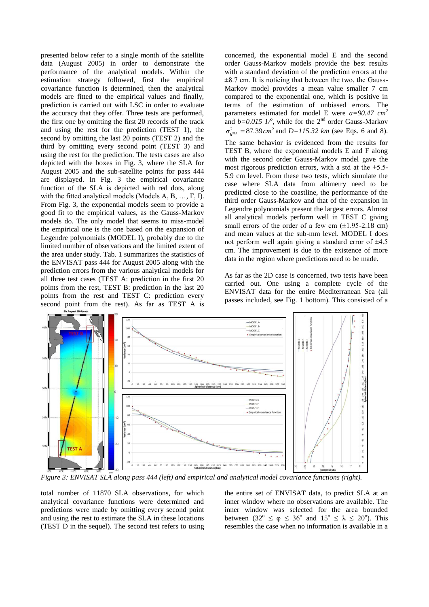presented below refer to a single month of the satellite data (August 2005) in order to demonstrate the performance of the analytical models. Within the estimation strategy followed, first the empirical covariance function is determined, then the analytical models are fitted to the empirical values and finally, prediction is carried out with LSC in order to evaluate the accuracy that they offer. Three tests are performed, the first one by omitting the first 20 records of the track and using the rest for the prediction (TEST 1), the second by omitting the last 20 points (TEST 2) and the third by omitting every second point (TEST 3) and using the rest for the prediction. The tests cases are also depicted with the boxes in Fig. 3, where the SLA for August 2005 and the sub-satellite points for pass 444 are displayed. In Fig. 3 the empirical covariance function of the SLA is depicted with red dots, along with the fitted analytical models (Models A, B, …, F, I). From Fig. 3, the exponential models seem to provide a good fit to the empirical values, as the Gauss-Markov models do. The only model that seems to miss-model the empirical one is the one based on the expansion of Legendre polynomials (MODEL I), probably due to the limited number of observations and the limited extent of the area under study. Tab. 1 summarizes the statistics of the ENVISAT pass 444 for August 2005 along with the prediction errors from the various analytical models for all three test cases (TEST A: prediction in the first 20 points from the rest, TEST B: prediction in the last 20 points from the rest and TEST C: prediction every second point from the rest). As far as TEST A is

concerned, the exponential model E and the second order Gauss-Markov models provide the best results with a standard deviation of the prediction errors at the  $\pm 8.7$  cm. It is noticing that between the two, the Gauss-Markov model provides a mean value smaller 7 cm compared to the exponential one, which is positive in terms of the estimation of unbiased errors. The parameters estimated for model E were  $a=90.47$   $cm^2$ and  $b=0.015$   $1$ <sup>o</sup>, while for the 2<sup>nd</sup> order Gauss-Markov  $\sigma_{h}^{2} = 87.39 \text{ cm}^{2}$  and  $D = 115.32 \text{ km}$  (see Eqs. 6 and 8). The same behavior is evidenced from the results for TEST B, where the exponential models E and F along with the second order Gauss-Markov model gave the most rigorous prediction errors, with a std at the  $\pm$ 5.5-5.9 cm level. From these two tests, which simulate the case where SLA data from altimetry need to be predicted close to the coastline, the performance of the third order Gauss-Markov and that of the expansion in Legendre polynomials present the largest errors. Almost all analytical models perform well in TEST C giving small errors of the order of a few cm  $(\pm 1.95 - 2.18$  cm) and mean values at the sub-mm level. MODEL I does not perform well again giving a standard error of  $\pm 4.5$ cm. The improvement is due to the existence of more data in the region where predictions need to be made.

As far as the 2D case is concerned, two tests have been carried out. One using a complete cycle of the ENVISAT data for the entire Mediterranean Sea (all passes included, see Fig. 1 bottom). This consisted of a



*Figure 3: ENVISAT SLA along pass 444 (left) and empirical and analytical model covariance functions (right).*

total number of 11870 SLA observations, for which analytical covariance functions were determined and predictions were made by omitting every second point and using the rest to estimate the SLA in these locations (TEST D in the sequel). The second test refers to using

the entire set of ENVISAT data, to predict SLA at an inner window where no observations are available. The inner window was selected for the area bounded between  $(32^{\circ} \le \varphi \le 36^{\circ}$  and  $15^{\circ} \le \lambda \le 20^{\circ})$ . This resembles the case when no information is available in a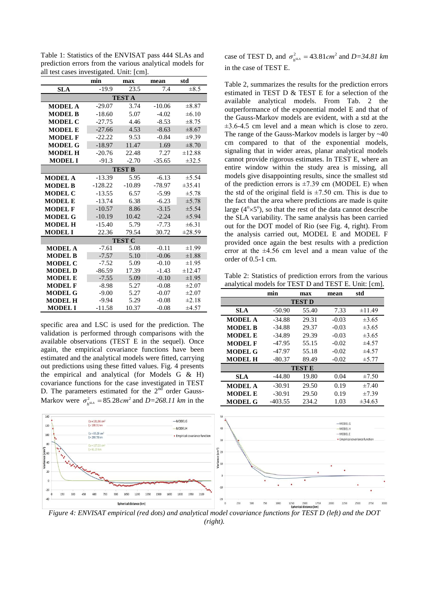|                | min       | max      | mean     | std        |  |  |
|----------------|-----------|----------|----------|------------|--|--|
| <b>SLA</b>     | $-19.9$   | 23.5     | 7.4      | $\pm 8.5$  |  |  |
| <b>TEST A</b>  |           |          |          |            |  |  |
| <b>MODEL A</b> | $-29.07$  | 3.74     | $-10.06$ | $\pm 8.87$ |  |  |
| <b>MODEL B</b> | $-18.60$  | 5.07     | $-4.02$  | ±6.10      |  |  |
| <b>MODEL C</b> | $-27.75$  | 4.46     | $-8.53$  | $\pm 8.75$ |  |  |
| <b>MODEL E</b> | $-27.66$  | 4.53     | $-8.63$  | $\pm 8.67$ |  |  |
| <b>MODEL F</b> | $-22.22$  | 9.53     | $-0.84$  | $\pm 9.39$ |  |  |
| <b>MODEL G</b> | $-18.97$  | 11.47    | 1.69     | $\pm 8.70$ |  |  |
| <b>MODEL H</b> | $-20.76$  | 22.48    | 7.27     | ±12.88     |  |  |
| <b>MODEL I</b> | $-91.3$   | $-2.70$  | $-35.65$ | ±32.5      |  |  |
| <b>TEST B</b>  |           |          |          |            |  |  |
| <b>MODEL A</b> | $-13.39$  | 5.95     | $-6.13$  | ±5.54      |  |  |
| <b>MODEL B</b> | $-128.22$ | $-10.89$ | $-78.97$ | ±35.41     |  |  |
| <b>MODEL C</b> | $-13.55$  | 6.57     | $-5.99$  | ±5.78      |  |  |
| <b>MODEL E</b> | $-13.74$  | 6.38     | $-6.23$  | ±5.78      |  |  |
| <b>MODEL F</b> | $-10.57$  | 8.86     | $-3.15$  | ±5.54      |  |  |
| <b>MODEL G</b> | $-10.19$  | 10.42    | $-2.24$  | $\pm$ 5.94 |  |  |
| <b>MODEL H</b> | $-15.40$  | 5.79     | $-7.73$  | $\pm 6.31$ |  |  |
| <b>MODEL I</b> | 22.36     | 79.54    | 30.72    | ±28.59     |  |  |
| <b>TEST C</b>  |           |          |          |            |  |  |
| <b>MODEL A</b> | $-7.61$   | 5.08     | $-0.11$  | $\pm 1.99$ |  |  |
| <b>MODEL B</b> | $-7.57$   | 5.10     | $-0.06$  | $\pm 1.88$ |  |  |
| <b>MODEL C</b> | $-7.52$   | 5.09     | $-0.10$  | $\pm 1.95$ |  |  |
| <b>MODEL D</b> | $-86.59$  | 17.39    | $-1.43$  | ±12.47     |  |  |
| <b>MODEL E</b> | $-7.55$   | 5.09     | $-0.10$  | $\pm 1.95$ |  |  |
| <b>MODEL F</b> | $-8.98$   | 5.27     | $-0.08$  | $\pm 2.07$ |  |  |
| <b>MODEL G</b> | $-9.00$   | 5.27     | $-0.07$  | $\pm 2.07$ |  |  |
| <b>MODEL H</b> | $-9.94$   | 5.29     | $-0.08$  | ±2.18      |  |  |
| <b>MODEL I</b> | $-11.58$  | 10.37    | $-0.08$  | ±4.57      |  |  |

Table 1: Statistics of the ENVISAT pass 444 SLAs and prediction errors from the various analytical models for all test cases investigated. Unit: [cm].

specific area and LSC is used for the prediction. The validation is performed through comparisons with the available observations (TEST E in the sequel). Once again, the empirical covariance functions have been estimated and the analytical models were fitted, carrying out predictions using these fitted values. Fig. 4 presents the empirical and analytical (for Models G & H) covariance functions for the case investigated in TEST D. The parameters estimated for the  $2<sup>nd</sup>$  order Gauss-Markov were  $\sigma_{h}^{2} = 85.28 \text{ cm}^{2}$  and  $D = 268.11 \text{ km}$  in the

case of TEST D, and  $\sigma_{h^{SLA}}^2 = 43.81 \, \text{cm}^2$  and  $D = 34.81 \, \text{km}$ in the case of TEST E.

Table 2, summarizes the results for the prediction errors estimated in TEST D & TEST E for a selection of the available analytical models. From Tab. 2 the outperformance of the exponential model E and that of the Gauss-Markov models are evident, with a std at the ±3.6-4.5 cm level and a mean which is close to zero. The range of the Gauss-Markov models is larger by  $~40$ cm compared to that of the exponential models, signaling that in wider areas, planar analytical models cannot provide rigorous estimates. In TEST E, where an entire window within the study area is missing, all models give disappointing results, since the smallest std of the prediction errors is  $\pm$ 7.39 cm (MODEL E) when the std of the original field is  $\pm 7.50$  cm. This is due to the fact that the area where predictions are made is quite large  $(4^{\circ} \times 5^{\circ})$ , so that the rest of the data cannot describe the SLA variability. The same analysis has been carried out for the DOT model of Rio (see Fig. 4, right). From the analysis carried out, MODEL E and MODEL F provided once again the best results with a prediction error at the  $\pm 4.56$  cm level and a mean value of the order of 0.5-1 cm.

Table 2: Statistics of prediction errors from the various analytical models for TEST D and TEST E. Unit: [cm].

|                | min       | max   | mean    | std         |  |  |
|----------------|-----------|-------|---------|-------------|--|--|
| <b>TEST D</b>  |           |       |         |             |  |  |
| <b>SLA</b>     | $-50.90$  | 55.40 | 7.33    | ±11.49      |  |  |
| <b>MODEL A</b> | $-34.88$  | 29.31 | $-0.03$ | $\pm 3.65$  |  |  |
| <b>MODEL B</b> | $-34.88$  | 29.37 | $-0.03$ | $\pm 3.65$  |  |  |
| <b>MODEL E</b> | $-34.89$  | 29.39 | $-0.03$ | $\pm 3.65$  |  |  |
| <b>MODEL F</b> | $-47.95$  | 55.15 | $-0.02$ | ±4.57       |  |  |
| <b>MODEL G</b> | $-47.97$  | 55.18 | $-0.02$ | ±4.57       |  |  |
| <b>MODEL H</b> | $-80.37$  | 89.49 | $-0.02$ | ±5.77       |  |  |
| <b>TEST E</b>  |           |       |         |             |  |  |
| <b>SLA</b>     | $-44.80$  | 19.80 | 0.04    | $\pm 7.50$  |  |  |
| <b>MODEL A</b> | $-30.91$  | 29.50 | 0.19    | $\pm 7.40$  |  |  |
| <b>MODEL E</b> | $-30.91$  | 29.50 | 0.19    | $\pm 7.39$  |  |  |
| <b>MODEL G</b> | $-403.55$ | 234.2 | 1.03    | $\pm 34.63$ |  |  |



*Figure 4: ENVISAT empirical (red dots) and analytical model covariance functions for TEST D (left) and the DOT (right).*